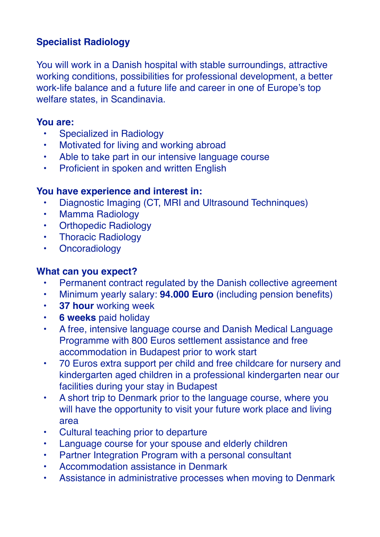# **Specialist Radiology**

You will work in a Danish hospital with stable surroundings, attractive working conditions, possibilities for professional development, a better work-life balance and a future life and career in one of Europe's top welfare states, in Scandinavia.

#### **You are:**

- Specialized in Radiology
- Motivated for living and working abroad
- Able to take part in our intensive language course
- Proficient in spoken and written English

## **You have experience and interest in:**

- Diagnostic Imaging (CT, MRI and Ultrasound Techninques)
- Mamma Radiology
- Orthopedic Radiology
- Thoracic Radiology
- Oncoradiology

## **What can you expect?**

- Permanent contract regulated by the Danish collective agreement
- Minimum yearly salary: **94.000 Euro** (including pension benefits)
- **37 hour** working week
- **6 weeks** paid holiday
- A free, intensive language course and Danish Medical Language Programme with 800 Euros settlement assistance and free accommodation in Budapest prior to work start
- 70 Euros extra support per child and free childcare for nursery and kindergarten aged children in a professional kindergarten near our facilities during your stay in Budapest
- A short trip to Denmark prior to the language course, where you will have the opportunity to visit your future work place and living area
- Cultural teaching prior to departure
- Language course for your spouse and elderly children
- Partner Integration Program with a personal consultant
- Accommodation assistance in Denmark
- Assistance in administrative processes when moving to Denmark